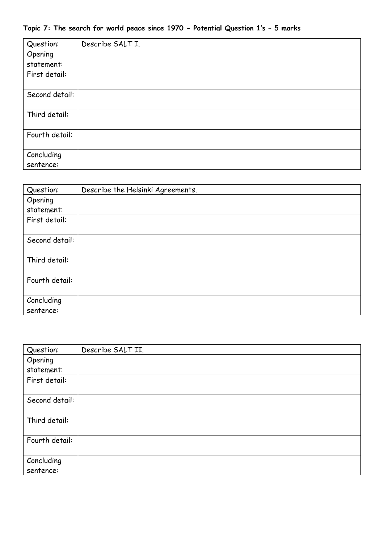## **Topic 7: The search for world peace since 1970 - Potential Question 1's – 5 marks**

| Question:               | Describe SALT I. |
|-------------------------|------------------|
| Opening                 |                  |
| statement:              |                  |
| First detail:           |                  |
| Second detail:          |                  |
| Third detail:           |                  |
| Fourth detail:          |                  |
| Concluding<br>sentence: |                  |

| Question:               | Describe the Helsinki Agreements. |
|-------------------------|-----------------------------------|
| Opening                 |                                   |
| statement:              |                                   |
| First detail:           |                                   |
|                         |                                   |
| Second detail:          |                                   |
| Third detail:           |                                   |
| Fourth detail:          |                                   |
| Concluding<br>sentence: |                                   |

| Question:               | Describe SALT II. |
|-------------------------|-------------------|
| Opening                 |                   |
| statement:              |                   |
| First detail:           |                   |
| Second detail:          |                   |
|                         |                   |
| Third detail:           |                   |
| Fourth detail:          |                   |
| Concluding<br>sentence: |                   |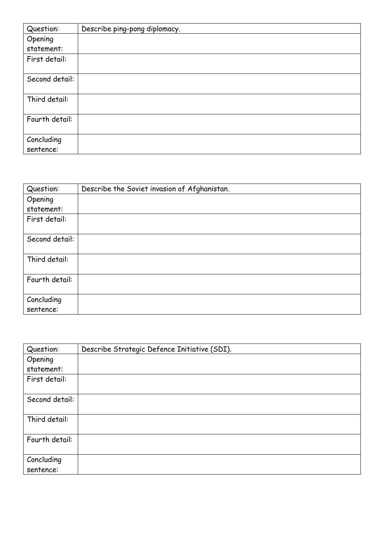| Question:               | Describe ping-pong diplomacy. |
|-------------------------|-------------------------------|
| Opening                 |                               |
| statement:              |                               |
| First detail:           |                               |
|                         |                               |
| Second detail:          |                               |
|                         |                               |
| Third detail:           |                               |
| Fourth detail:          |                               |
| Concluding<br>sentence: |                               |

| Question:               | Describe the Soviet invasion of Afghanistan. |
|-------------------------|----------------------------------------------|
| Opening                 |                                              |
| statement:              |                                              |
| First detail:           |                                              |
| Second detail:          |                                              |
| Third detail:           |                                              |
| Fourth detail:          |                                              |
| Concluding<br>sentence: |                                              |

| Question:               | Describe Strategic Defence Initiative (SDI). |
|-------------------------|----------------------------------------------|
| Opening                 |                                              |
| statement:              |                                              |
| First detail:           |                                              |
| Second detail:          |                                              |
| Third detail:           |                                              |
| Fourth detail:          |                                              |
| Concluding<br>sentence: |                                              |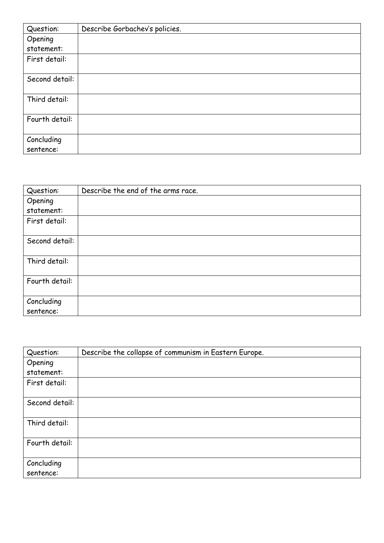| Question:      | Describe Gorbachev's policies. |
|----------------|--------------------------------|
| Opening        |                                |
| statement:     |                                |
| First detail:  |                                |
|                |                                |
| Second detail: |                                |
| Third detail:  |                                |
|                |                                |
| Fourth detail: |                                |
|                |                                |
| Concluding     |                                |
| sentence:      |                                |

| Question:               | Describe the end of the arms race. |
|-------------------------|------------------------------------|
| Opening                 |                                    |
| statement:              |                                    |
| First detail:           |                                    |
| Second detail:          |                                    |
| Third detail:           |                                    |
| Fourth detail:          |                                    |
| Concluding<br>sentence: |                                    |

| Question:               | Describe the collapse of communism in Eastern Europe. |
|-------------------------|-------------------------------------------------------|
| Opening                 |                                                       |
| statement:              |                                                       |
| First detail:           |                                                       |
| Second detail:          |                                                       |
| Third detail:           |                                                       |
| Fourth detail:          |                                                       |
| Concluding<br>sentence: |                                                       |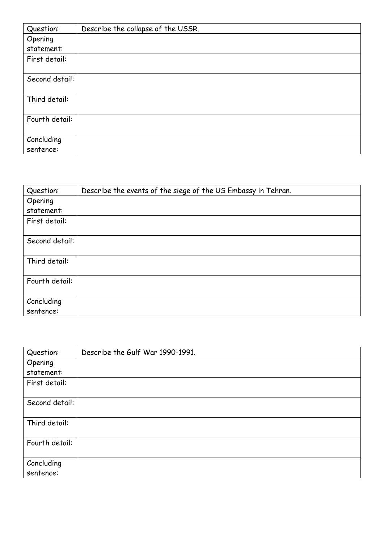| Question:      | Describe the collapse of the USSR. |
|----------------|------------------------------------|
| Opening        |                                    |
| statement:     |                                    |
| First detail:  |                                    |
|                |                                    |
| Second detail: |                                    |
|                |                                    |
| Third detail:  |                                    |
|                |                                    |
| Fourth detail: |                                    |
|                |                                    |
| Concluding     |                                    |
| sentence:      |                                    |

| Question:               | Describe the events of the siege of the US Embassy in Tehran. |
|-------------------------|---------------------------------------------------------------|
| Opening                 |                                                               |
| statement:              |                                                               |
| First detail:           |                                                               |
| Second detail:          |                                                               |
| Third detail:           |                                                               |
| Fourth detail:          |                                                               |
| Concluding<br>sentence: |                                                               |

| Question:               | Describe the Gulf War 1990-1991. |
|-------------------------|----------------------------------|
| Opening                 |                                  |
| statement:              |                                  |
| First detail:           |                                  |
| Second detail:          |                                  |
| Third detail:           |                                  |
| Fourth detail:          |                                  |
| Concluding<br>sentence: |                                  |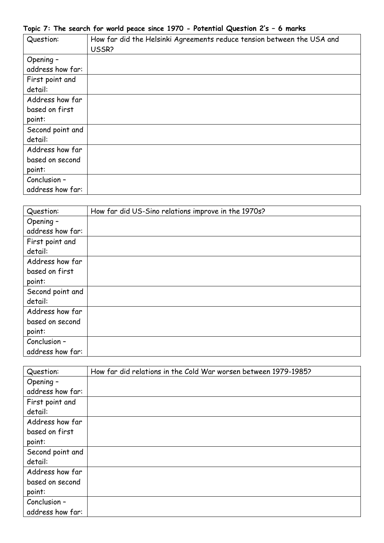## **Topic 7: The search for world peace since 1970 - Potential Question 2's – 6 marks**

| Question:        | How far did the Helsinki Agreements reduce tension between the USA and<br>USSR? |  |
|------------------|---------------------------------------------------------------------------------|--|
| Opening -        |                                                                                 |  |
| address how far: |                                                                                 |  |
| First point and  |                                                                                 |  |
| detail:          |                                                                                 |  |
| Address how far  |                                                                                 |  |
| based on first   |                                                                                 |  |
| point:           |                                                                                 |  |
| Second point and |                                                                                 |  |
| detail:          |                                                                                 |  |
| Address how far  |                                                                                 |  |
| based on second  |                                                                                 |  |
| point:           |                                                                                 |  |
| Conclusion -     |                                                                                 |  |
| address how far: |                                                                                 |  |

| Question:        | How far did US-Sino relations improve in the 1970s? |
|------------------|-----------------------------------------------------|
| Opening -        |                                                     |
| address how far: |                                                     |
| First point and  |                                                     |
| detail:          |                                                     |
| Address how far  |                                                     |
| based on first   |                                                     |
| point:           |                                                     |
| Second point and |                                                     |
| detail:          |                                                     |
| Address how far  |                                                     |
| based on second  |                                                     |
| point:           |                                                     |
| Conclusion -     |                                                     |
| address how far: |                                                     |

| Question:        | How far did relations in the Cold War worsen between 1979-1985? |
|------------------|-----------------------------------------------------------------|
| Opening -        |                                                                 |
| address how far: |                                                                 |
| First point and  |                                                                 |
| detail:          |                                                                 |
| Address how far  |                                                                 |
| based on first   |                                                                 |
| point:           |                                                                 |
| Second point and |                                                                 |
| detail:          |                                                                 |
| Address how far  |                                                                 |
| based on second  |                                                                 |
| point:           |                                                                 |
| Conclusion -     |                                                                 |
| address how far: |                                                                 |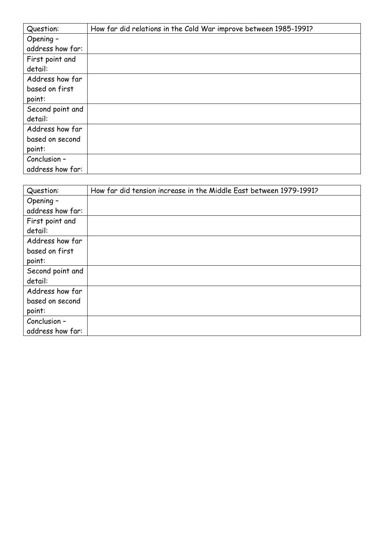| Question:        | How far did relations in the Cold War improve between 1985-1991? |
|------------------|------------------------------------------------------------------|
| Opening -        |                                                                  |
| address how far: |                                                                  |
| First point and  |                                                                  |
| detail:          |                                                                  |
| Address how far  |                                                                  |
| based on first   |                                                                  |
| point:           |                                                                  |
| Second point and |                                                                  |
| detail:          |                                                                  |
| Address how far  |                                                                  |
| based on second  |                                                                  |
| point:           |                                                                  |
| Conclusion -     |                                                                  |
| address how far: |                                                                  |

| Question:        | How far did tension increase in the Middle East between 1979-1991? |
|------------------|--------------------------------------------------------------------|
| Opening -        |                                                                    |
| address how far: |                                                                    |
| First point and  |                                                                    |
| detail:          |                                                                    |
| Address how far  |                                                                    |
| based on first   |                                                                    |
| point:           |                                                                    |
| Second point and |                                                                    |
| detail:          |                                                                    |
| Address how far  |                                                                    |
| based on second  |                                                                    |
| point:           |                                                                    |
| Conclusion -     |                                                                    |
| address how far: |                                                                    |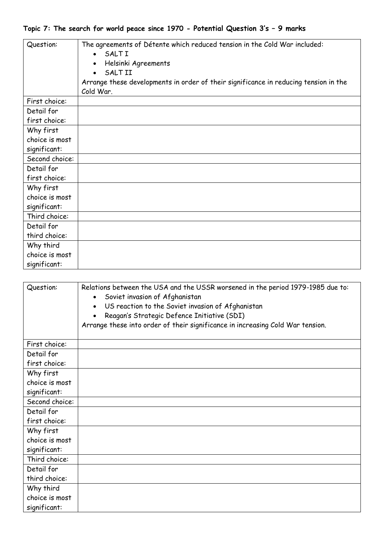| Question:      | The agreements of Détente which reduced tension in the Cold War included:<br>SALTI<br>$\bullet$<br>Helsinki Agreements<br>SALTII<br>Arrange these developments in order of their significance in reducing tension in the<br>Cold War. |
|----------------|---------------------------------------------------------------------------------------------------------------------------------------------------------------------------------------------------------------------------------------|
| First choice:  |                                                                                                                                                                                                                                       |
| Detail for     |                                                                                                                                                                                                                                       |
| first choice:  |                                                                                                                                                                                                                                       |
| Why first      |                                                                                                                                                                                                                                       |
| choice is most |                                                                                                                                                                                                                                       |
| significant:   |                                                                                                                                                                                                                                       |
| Second choice: |                                                                                                                                                                                                                                       |
| Detail for     |                                                                                                                                                                                                                                       |
| first choice:  |                                                                                                                                                                                                                                       |
| Why first      |                                                                                                                                                                                                                                       |
| choice is most |                                                                                                                                                                                                                                       |
| significant:   |                                                                                                                                                                                                                                       |
| Third choice:  |                                                                                                                                                                                                                                       |
| Detail for     |                                                                                                                                                                                                                                       |
| third choice:  |                                                                                                                                                                                                                                       |
| Why third      |                                                                                                                                                                                                                                       |
| choice is most |                                                                                                                                                                                                                                       |
| significant:   |                                                                                                                                                                                                                                       |

| Question:      | Relations between the USA and the USSR worsened in the period 1979-1985 due to:<br>Soviet invasion of Afghanistan<br>US reaction to the Soviet invasion of Afghanistan<br>Reagan's Strategic Defence Initiative (SDI)<br>Arrange these into order of their significance in increasing Cold War tension. |  |
|----------------|---------------------------------------------------------------------------------------------------------------------------------------------------------------------------------------------------------------------------------------------------------------------------------------------------------|--|
| First choice:  |                                                                                                                                                                                                                                                                                                         |  |
| Detail for     |                                                                                                                                                                                                                                                                                                         |  |
| first choice:  |                                                                                                                                                                                                                                                                                                         |  |
| Why first      |                                                                                                                                                                                                                                                                                                         |  |
| choice is most |                                                                                                                                                                                                                                                                                                         |  |
| significant:   |                                                                                                                                                                                                                                                                                                         |  |
| Second choice: |                                                                                                                                                                                                                                                                                                         |  |
| Detail for     |                                                                                                                                                                                                                                                                                                         |  |
| first choice:  |                                                                                                                                                                                                                                                                                                         |  |
| Why first      |                                                                                                                                                                                                                                                                                                         |  |
| choice is most |                                                                                                                                                                                                                                                                                                         |  |
| significant:   |                                                                                                                                                                                                                                                                                                         |  |
| Third choice:  |                                                                                                                                                                                                                                                                                                         |  |
| Detail for     |                                                                                                                                                                                                                                                                                                         |  |
| third choice:  |                                                                                                                                                                                                                                                                                                         |  |
| Why third      |                                                                                                                                                                                                                                                                                                         |  |
| choice is most |                                                                                                                                                                                                                                                                                                         |  |
| significant:   |                                                                                                                                                                                                                                                                                                         |  |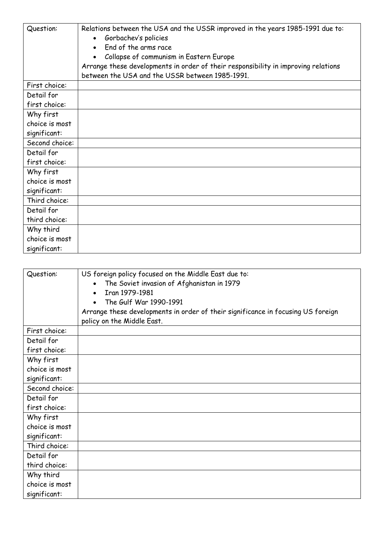| Question:      | Relations between the USA and the USSR improved in the years 1985-1991 due to:<br>Gorbachev's policies<br>End of the arms race<br>Collapse of communism in Eastern Europe |
|----------------|---------------------------------------------------------------------------------------------------------------------------------------------------------------------------|
|                | Arrange these developments in order of their responsibility in improving relations                                                                                        |
|                | between the USA and the USSR between 1985-1991.                                                                                                                           |
| First choice:  |                                                                                                                                                                           |
| Detail for     |                                                                                                                                                                           |
| first choice:  |                                                                                                                                                                           |
| Why first      |                                                                                                                                                                           |
| choice is most |                                                                                                                                                                           |
| significant:   |                                                                                                                                                                           |
| Second choice: |                                                                                                                                                                           |
| Detail for     |                                                                                                                                                                           |
| first choice:  |                                                                                                                                                                           |
| Why first      |                                                                                                                                                                           |
| choice is most |                                                                                                                                                                           |
| significant:   |                                                                                                                                                                           |
| Third choice:  |                                                                                                                                                                           |
| Detail for     |                                                                                                                                                                           |
| third choice:  |                                                                                                                                                                           |
| Why third      |                                                                                                                                                                           |
| choice is most |                                                                                                                                                                           |
| significant:   |                                                                                                                                                                           |

| Question:      | US foreign policy focused on the Middle East due to:<br>The Soviet invasion of Afghanistan in 1979<br>Iran 1979-1981<br>The Gulf War 1990-1991 |
|----------------|------------------------------------------------------------------------------------------------------------------------------------------------|
|                | Arrange these developments in order of their significance in focusing US foreign                                                               |
|                | policy on the Middle East.                                                                                                                     |
| First choice:  |                                                                                                                                                |
| Detail for     |                                                                                                                                                |
| first choice:  |                                                                                                                                                |
| Why first      |                                                                                                                                                |
| choice is most |                                                                                                                                                |
| significant:   |                                                                                                                                                |
| Second choice: |                                                                                                                                                |
| Detail for     |                                                                                                                                                |
| first choice:  |                                                                                                                                                |
| Why first      |                                                                                                                                                |
| choice is most |                                                                                                                                                |
| significant:   |                                                                                                                                                |
| Third choice:  |                                                                                                                                                |
| Detail for     |                                                                                                                                                |
| third choice:  |                                                                                                                                                |
| Why third      |                                                                                                                                                |
| choice is most |                                                                                                                                                |
| significant:   |                                                                                                                                                |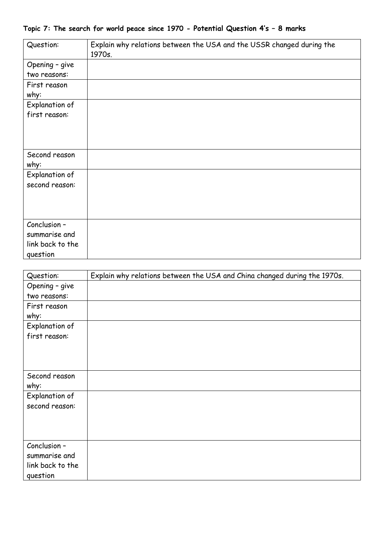| Question:        | Explain why relations between the USA and the USSR changed during the<br>1970s. |
|------------------|---------------------------------------------------------------------------------|
| Opening - give   |                                                                                 |
| two reasons:     |                                                                                 |
| First reason     |                                                                                 |
| why:             |                                                                                 |
| Explanation of   |                                                                                 |
| first reason:    |                                                                                 |
|                  |                                                                                 |
|                  |                                                                                 |
|                  |                                                                                 |
| Second reason    |                                                                                 |
| why:             |                                                                                 |
| Explanation of   |                                                                                 |
| second reason:   |                                                                                 |
|                  |                                                                                 |
|                  |                                                                                 |
|                  |                                                                                 |
| Conclusion -     |                                                                                 |
| summarise and    |                                                                                 |
| link back to the |                                                                                 |
| question         |                                                                                 |

|  | Topic 7: The search for world peace since 1970 - Potential Question 4's - 8 marks |  |
|--|-----------------------------------------------------------------------------------|--|
|--|-----------------------------------------------------------------------------------|--|

| Question:        | Explain why relations between the USA and China changed during the 1970s. |
|------------------|---------------------------------------------------------------------------|
| Opening - give   |                                                                           |
| two reasons:     |                                                                           |
| First reason     |                                                                           |
| why:             |                                                                           |
| Explanation of   |                                                                           |
| first reason:    |                                                                           |
|                  |                                                                           |
|                  |                                                                           |
|                  |                                                                           |
| Second reason    |                                                                           |
| why:             |                                                                           |
| Explanation of   |                                                                           |
| second reason:   |                                                                           |
|                  |                                                                           |
|                  |                                                                           |
|                  |                                                                           |
| Conclusion -     |                                                                           |
| summarise and    |                                                                           |
| link back to the |                                                                           |
| question         |                                                                           |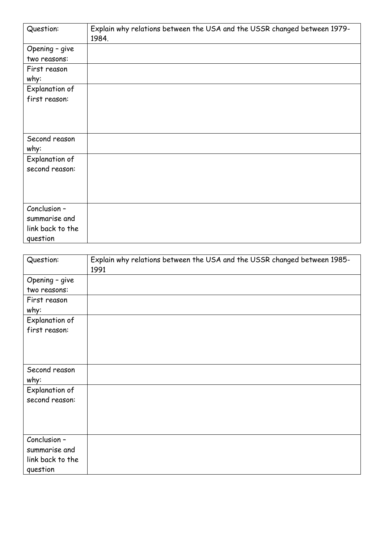| Question:        | Explain why relations between the USA and the USSR changed between 1979-<br>1984. |
|------------------|-----------------------------------------------------------------------------------|
| Opening - give   |                                                                                   |
| two reasons:     |                                                                                   |
| First reason     |                                                                                   |
| why:             |                                                                                   |
| Explanation of   |                                                                                   |
| first reason:    |                                                                                   |
|                  |                                                                                   |
|                  |                                                                                   |
| Second reason    |                                                                                   |
| why:             |                                                                                   |
| Explanation of   |                                                                                   |
| second reason:   |                                                                                   |
|                  |                                                                                   |
|                  |                                                                                   |
|                  |                                                                                   |
| Conclusion -     |                                                                                   |
| summarise and    |                                                                                   |
| link back to the |                                                                                   |
| question         |                                                                                   |

| Question:        | Explain why relations between the USA and the USSR changed between 1985- |
|------------------|--------------------------------------------------------------------------|
|                  | 1991                                                                     |
| Opening - give   |                                                                          |
| two reasons:     |                                                                          |
| First reason     |                                                                          |
| why:             |                                                                          |
| Explanation of   |                                                                          |
| first reason:    |                                                                          |
|                  |                                                                          |
|                  |                                                                          |
|                  |                                                                          |
| Second reason    |                                                                          |
| why:             |                                                                          |
| Explanation of   |                                                                          |
| second reason:   |                                                                          |
|                  |                                                                          |
|                  |                                                                          |
|                  |                                                                          |
| Conclusion -     |                                                                          |
| summarise and    |                                                                          |
| link back to the |                                                                          |
| question         |                                                                          |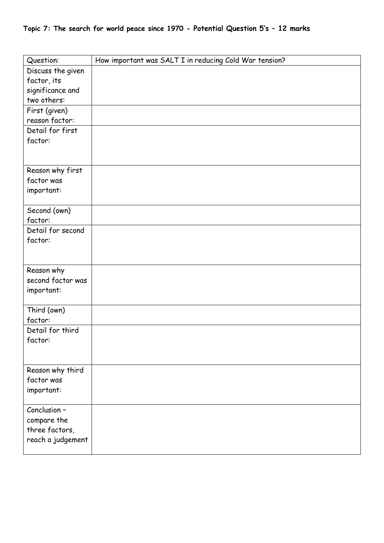| Question:         | How important was SALT I in reducing Cold War tension? |
|-------------------|--------------------------------------------------------|
| Discuss the given |                                                        |
| factor, its       |                                                        |
| significance and  |                                                        |
| two others:       |                                                        |
| First (given)     |                                                        |
| reason factor:    |                                                        |
| Detail for first  |                                                        |
| factor:           |                                                        |
|                   |                                                        |
|                   |                                                        |
| Reason why first  |                                                        |
| factor was        |                                                        |
| important:        |                                                        |
| Second (own)      |                                                        |
| factor:           |                                                        |
| Detail for second |                                                        |
| factor:           |                                                        |
|                   |                                                        |
|                   |                                                        |
| Reason why        |                                                        |
| second factor was |                                                        |
| important:        |                                                        |
|                   |                                                        |
| Third (own)       |                                                        |
| factor:           |                                                        |
| Detail for third  |                                                        |
| factor:           |                                                        |
|                   |                                                        |
| Reason why third  |                                                        |
| factor was        |                                                        |
| important:        |                                                        |
|                   |                                                        |
| Conclusion -      |                                                        |
| compare the       |                                                        |
| three factors,    |                                                        |
| reach a judgement |                                                        |
|                   |                                                        |

## **Topic 7: The search for world peace since 1970 - Potential Question 5's – 12 marks**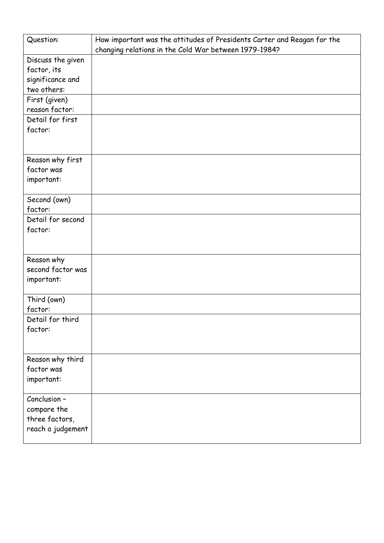| Question:         | How important was the attitudes of Presidents Carter and Reagan for the |
|-------------------|-------------------------------------------------------------------------|
|                   | changing relations in the Cold War between 1979-1984?                   |
| Discuss the given |                                                                         |
| factor, its       |                                                                         |
| significance and  |                                                                         |
| two others:       |                                                                         |
| First (given)     |                                                                         |
| reason factor:    |                                                                         |
| Detail for first  |                                                                         |
| factor:           |                                                                         |
|                   |                                                                         |
|                   |                                                                         |
| Reason why first  |                                                                         |
| factor was        |                                                                         |
| important:        |                                                                         |
| Second (own)      |                                                                         |
| factor:           |                                                                         |
| Detail for second |                                                                         |
| factor:           |                                                                         |
|                   |                                                                         |
|                   |                                                                         |
| Reason why        |                                                                         |
| second factor was |                                                                         |
| important:        |                                                                         |
|                   |                                                                         |
| Third (own)       |                                                                         |
| factor:           |                                                                         |
| Detail for third  |                                                                         |
| factor:           |                                                                         |
|                   |                                                                         |
|                   |                                                                         |
| Reason why third  |                                                                         |
| factor was        |                                                                         |
| important:        |                                                                         |
|                   |                                                                         |
| Conclusion -      |                                                                         |
| compare the       |                                                                         |
| three factors,    |                                                                         |
| reach a judgement |                                                                         |
|                   |                                                                         |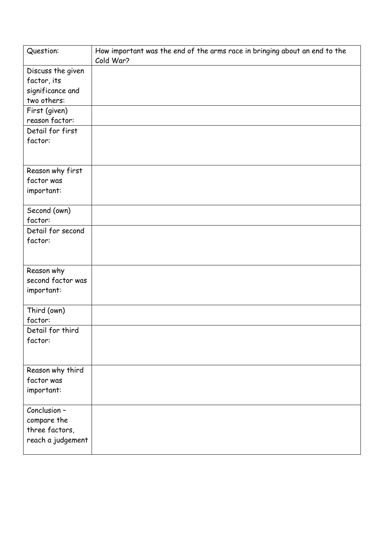| Question:         | How important was the end of the arms race in bringing about an end to the<br>Cold War? |
|-------------------|-----------------------------------------------------------------------------------------|
| Discuss the given |                                                                                         |
| factor, its       |                                                                                         |
| significance and  |                                                                                         |
| two others:       |                                                                                         |
| First (given)     |                                                                                         |
| reason factor:    |                                                                                         |
| Detail for first  |                                                                                         |
| factor:           |                                                                                         |
|                   |                                                                                         |
| Reason why first  |                                                                                         |
| factor was        |                                                                                         |
| important:        |                                                                                         |
|                   |                                                                                         |
| Second (own)      |                                                                                         |
| factor:           |                                                                                         |
| Detail for second |                                                                                         |
| factor:           |                                                                                         |
|                   |                                                                                         |
|                   |                                                                                         |
| Reason why        |                                                                                         |
| second factor was |                                                                                         |
| important:        |                                                                                         |
| Third (own)       |                                                                                         |
| factor:           |                                                                                         |
| Detail for third  |                                                                                         |
| factor:           |                                                                                         |
|                   |                                                                                         |
| Reason why third  |                                                                                         |
| factor was        |                                                                                         |
| important:        |                                                                                         |
|                   |                                                                                         |
| Conclusion -      |                                                                                         |
| compare the       |                                                                                         |
| three factors,    |                                                                                         |
| reach a judgement |                                                                                         |
|                   |                                                                                         |